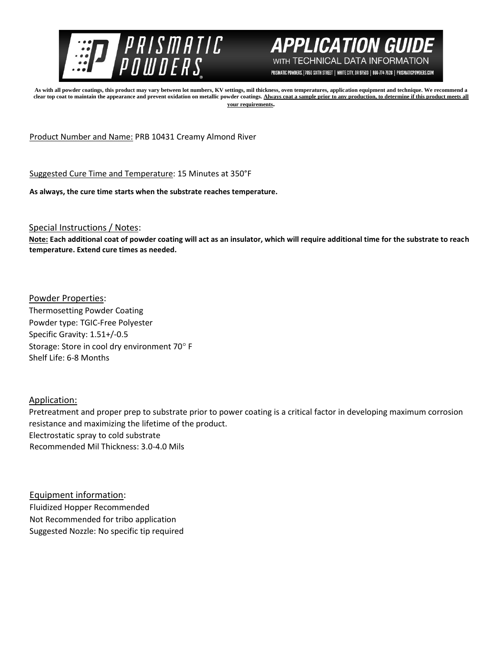



PRISMATIC POWDERS. | 7050 SIXTH STREET | WHITE CITY, OR 97503 | 866-774-7628 | PRISMATICPOWDERS.COM

**As with all powder coatings, this product may vary between lot numbers, KV settings, mil thickness, oven temperatures, application equipment and technique. We recommend a**  clear top coat to maintain the appearance and prevent oxidation on metallic powder coatings. Always coat a sample prior to any production, to determine if this product meets all **your requirements.** 

Product Number and Name: PRB 10431 Creamy Almond River

Suggested Cure Time and Temperature: 15 Minutes at 350°F

**As always, the cure time starts when the substrate reaches temperature.**

Special Instructions / Notes:

**Note: Each additional coat of powder coating will act as an insulator, which will require additional time for the substrate to reach temperature. Extend cure times as needed.** 

Powder Properties: Thermosetting Powder Coating Powder type: TGIC-Free Polyester Specific Gravity: 1.51+/-0.5 Storage: Store in cool dry environment 70° F Shelf Life: 6-8 Months

Application:

Pretreatment and proper prep to substrate prior to power coating is a critical factor in developing maximum corrosion resistance and maximizing the lifetime of the product. Electrostatic spray to cold substrate Recommended Mil Thickness: 3.0-4.0 Mils

Equipment information: Fluidized Hopper Recommended Not Recommended for tribo application Suggested Nozzle: No specific tip required